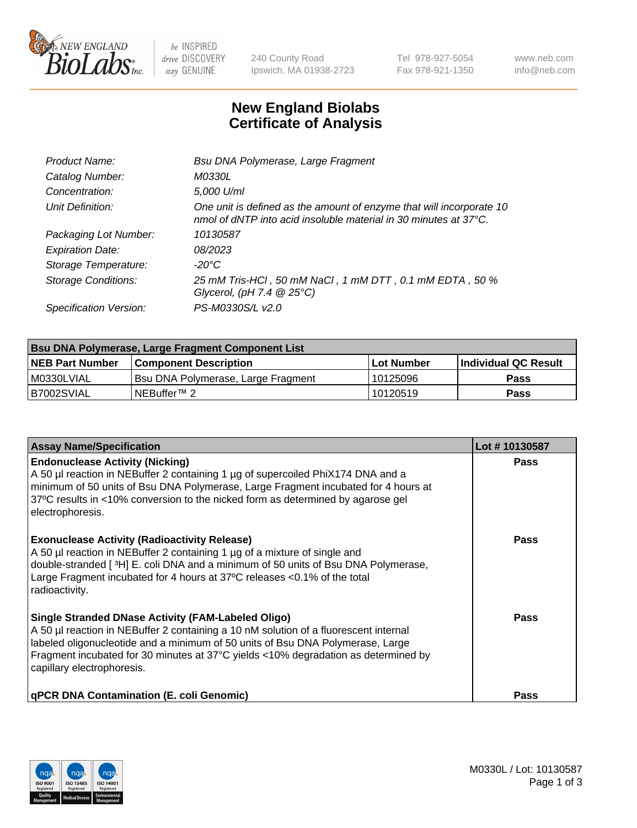

 $be$  INSPIRED drive DISCOVERY stay GENUINE

240 County Road Ipswich, MA 01938-2723 Tel 978-927-5054 Fax 978-921-1350 www.neb.com info@neb.com

## **New England Biolabs Certificate of Analysis**

| Product Name:              | Bsu DNA Polymerase, Large Fragment                                                                                                                 |
|----------------------------|----------------------------------------------------------------------------------------------------------------------------------------------------|
| Catalog Number:            | <i>M0330L</i>                                                                                                                                      |
| Concentration:             | 5,000 U/ml                                                                                                                                         |
| Unit Definition:           | One unit is defined as the amount of enzyme that will incorporate 10<br>nmol of dNTP into acid insoluble material in 30 minutes at $37^{\circ}$ C. |
| Packaging Lot Number:      | 10130587                                                                                                                                           |
| <b>Expiration Date:</b>    | 08/2023                                                                                                                                            |
| Storage Temperature:       | $-20^{\circ}$ C                                                                                                                                    |
| <b>Storage Conditions:</b> | 25 mM Tris-HCl, 50 mM NaCl, 1 mM DTT, 0.1 mM EDTA, 50 %<br>Glycerol, (pH 7.4 $@25°C$ )                                                             |
| Specification Version:     | PS-M0330S/L v2.0                                                                                                                                   |

| <b>Bsu DNA Polymerase, Large Fragment Component List</b> |                                    |                   |                      |  |  |
|----------------------------------------------------------|------------------------------------|-------------------|----------------------|--|--|
| <b>NEB Part Number</b>                                   | <b>Component Description</b>       | <b>Lot Number</b> | Individual QC Result |  |  |
| M0330LVIAL                                               | Bsu DNA Polymerase, Large Fragment | 10125096          | <b>Pass</b>          |  |  |
| B7002SVIAL                                               | INEBuffer™ 2_                      | l 10120519        | Pass                 |  |  |

| <b>Assay Name/Specification</b>                                                                                                                                                                                                                                                                                                                         | Lot #10130587 |
|---------------------------------------------------------------------------------------------------------------------------------------------------------------------------------------------------------------------------------------------------------------------------------------------------------------------------------------------------------|---------------|
| <b>Endonuclease Activity (Nicking)</b><br>A 50 µl reaction in NEBuffer 2 containing 1 µg of supercoiled PhiX174 DNA and a<br>minimum of 50 units of Bsu DNA Polymerase, Large Fragment incubated for 4 hours at<br>37°C results in <10% conversion to the nicked form as determined by agarose gel<br>electrophoresis.                                  | <b>Pass</b>   |
| <b>Exonuclease Activity (Radioactivity Release)</b><br>A 50 µl reaction in NEBuffer 2 containing 1 µg of a mixture of single and<br>double-stranded [3H] E. coli DNA and a minimum of 50 units of Bsu DNA Polymerase,<br>Large Fragment incubated for 4 hours at 37°C releases <0.1% of the total<br>radioactivity.                                     | <b>Pass</b>   |
| <b>Single Stranded DNase Activity (FAM-Labeled Oligo)</b><br>A 50 µl reaction in NEBuffer 2 containing a 10 nM solution of a fluorescent internal<br>labeled oligonucleotide and a minimum of 50 units of Bsu DNA Polymerase, Large<br>Fragment incubated for 30 minutes at 37°C yields <10% degradation as determined by<br>capillary electrophoresis. | Pass          |
| <b>qPCR DNA Contamination (E. coli Genomic)</b>                                                                                                                                                                                                                                                                                                         | Pass          |

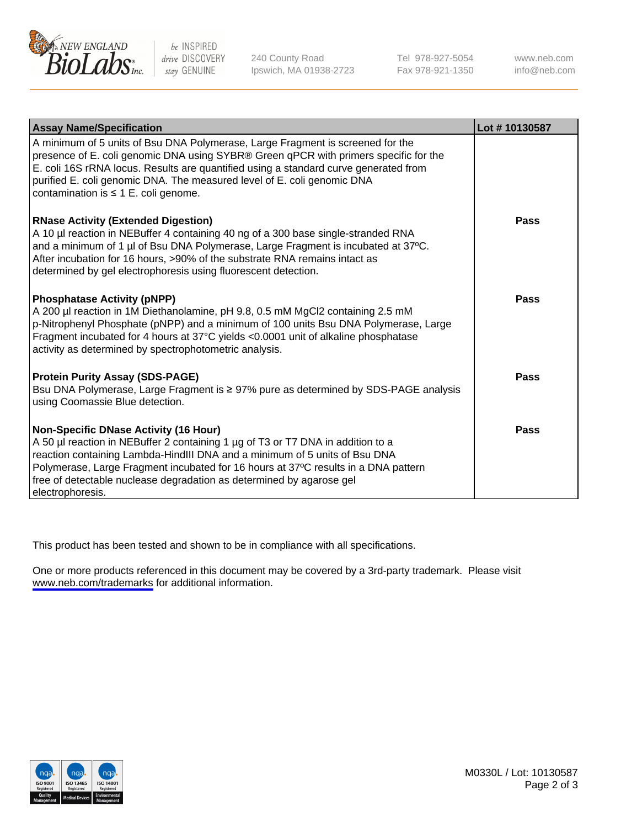

be INSPIRED drive DISCOVERY stay GENUINE

240 County Road Ipswich, MA 01938-2723 Tel 978-927-5054 Fax 978-921-1350

www.neb.com info@neb.com

| <b>Assay Name/Specification</b>                                                                                                                                                                                                                                                                                                                                                                 | Lot #10130587 |
|-------------------------------------------------------------------------------------------------------------------------------------------------------------------------------------------------------------------------------------------------------------------------------------------------------------------------------------------------------------------------------------------------|---------------|
| A minimum of 5 units of Bsu DNA Polymerase, Large Fragment is screened for the<br>presence of E. coli genomic DNA using SYBR® Green qPCR with primers specific for the<br>E. coli 16S rRNA locus. Results are quantified using a standard curve generated from<br>purified E. coli genomic DNA. The measured level of E. coli genomic DNA<br>contamination is $\leq 1$ E. coli genome.          |               |
| <b>RNase Activity (Extended Digestion)</b><br>A 10 µl reaction in NEBuffer 4 containing 40 ng of a 300 base single-stranded RNA<br>and a minimum of 1 µl of Bsu DNA Polymerase, Large Fragment is incubated at 37°C.<br>After incubation for 16 hours, >90% of the substrate RNA remains intact as<br>determined by gel electrophoresis using fluorescent detection.                            | Pass          |
| <b>Phosphatase Activity (pNPP)</b><br>A 200 µl reaction in 1M Diethanolamine, pH 9.8, 0.5 mM MgCl2 containing 2.5 mM<br>p-Nitrophenyl Phosphate (pNPP) and a minimum of 100 units Bsu DNA Polymerase, Large<br>Fragment incubated for 4 hours at 37°C yields <0.0001 unit of alkaline phosphatase<br>activity as determined by spectrophotometric analysis.                                     | Pass          |
| <b>Protein Purity Assay (SDS-PAGE)</b><br>Bsu DNA Polymerase, Large Fragment is ≥ 97% pure as determined by SDS-PAGE analysis<br>using Coomassie Blue detection.                                                                                                                                                                                                                                | Pass          |
| <b>Non-Specific DNase Activity (16 Hour)</b><br>A 50 µl reaction in NEBuffer 2 containing 1 µg of T3 or T7 DNA in addition to a<br>reaction containing Lambda-HindIII DNA and a minimum of 5 units of Bsu DNA<br>Polymerase, Large Fragment incubated for 16 hours at 37°C results in a DNA pattern<br>free of detectable nuclease degradation as determined by agarose gel<br>electrophoresis. | Pass          |

This product has been tested and shown to be in compliance with all specifications.

One or more products referenced in this document may be covered by a 3rd-party trademark. Please visit <www.neb.com/trademarks>for additional information.